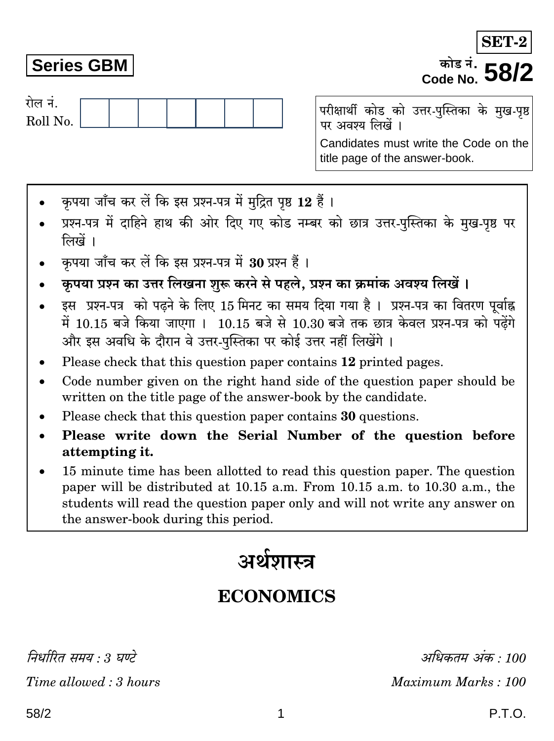**Series GBM** 

रोल नं.

Roll No.

परीक्षार्थी कोड को उत्तर-पुस्तिका के मुख-पृष्ठ पर अवश्य लिखें । Candidates must write the Code on the title page of the answer-book.

- कपया जाँच कर लें कि इस प्रश्न-पत्र में मुद्रित पृष्ठ 12 हैं।
- प्रश्न-पत्र में दाहिने हाथ की ओर दिए गए कोड नम्बर को छात्र उत्तर-पुस्तिका के मुख-पृष्ठ पर लिखें ।
- कपया जाँच कर लें कि इस प्रश्न-पत्र में 30 प्रश्न हैं।
- कृपया प्रश्न का उत्तर लिखना शुरू करने से पहले, प्रश्न का क्रमांक अवश्य लिखें ।
- इस प्रश्न-पत्र को पढ़ने के लिए 15 मिनट का समय दिया गया है। प्रश्न-पत्र का वितरण पर्वाह्न में 10.15 बजे किया जाएगा । 10.15 बजे से 10.30 बजे तक छात्र केवल प्रश्न-पत्र को पढ़ेंगे और इस अवधि के दौरान वे उत्तर-पस्तिका पर कोई उत्तर नहीं लिखेंगे ।
- Please check that this question paper contains 12 printed pages.
- Code number given on the right hand side of the question paper should be  $\bullet$ written on the title page of the answer-book by the candidate.
- Please check that this question paper contains 30 questions.
- Please write down the Serial Number of the question before attempting it.
- 15 minute time has been allotted to read this question paper. The question paper will be distributed at 10.15 a.m. From 10.15 a.m. to 10.30 a.m., the students will read the question paper only and will not write any answer on the answer-book during this period.

# अर्थशास्त्र

# **ECONOMICS**

निर्धारित ममय : २ घण्टे Time allowed: 3 hours

अधिकतम अंक · 100 Maximum Marks: 100

SET-

# <sup>कोड नं</sup>∙ **58** Code No.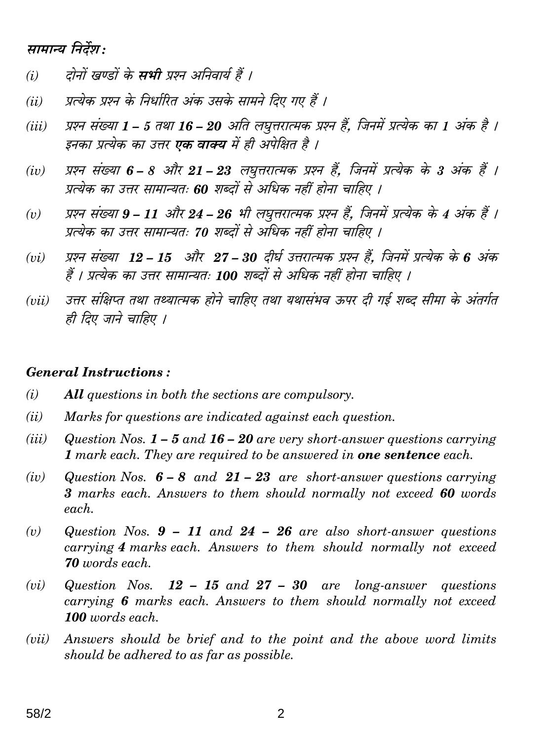## सामान्य निर्देश:

- दोनों खण्डों के **सभी** प्रश्न अनिवार्य हैं ।  $(i)$
- प्रत्येक प्रश्न के निर्धारित अंक उसके सामने दिए गए हैं ।  $(ii)$
- प्रश्न संख्या 1 5 तथा 16 20 अति लघृत्तरात्मक प्रश्न हैं. जिनमें प्रत्येक का 1 अंक है ।  $(iii)$ इनका प्रत्येक का उत्तर **एक वाक्य** में ही अपेक्षित है ।
- प्रश्न संख्या 6 8 और 21 23 लघुत्तरात्मक प्रश्न हैं, जिनमें प्रत्येक के 3 अंक हैं ।  $(iv)$ प्रत्येक का उत्तर सामान्यतः 60 शब्दों से अधिक नहीं होना चाहिए ।
- प्रश्न संख्या 9 11 और 24 26 भी लघुत्तरात्मक प्रश्न हैं, जिनमें प्रत्येक के 4 अंक हैं ।  $(v)$ प्रत्येक का उत्तर सामान्यतः 70 शब्दों से अधिक नहीं होना चाहिए ।
- प्रश्न संख्या 12 15 और 27 30 दीर्घ उत्तरात्मक प्रश्न हैं. जिनमें प्रत्येक के 6 अंक  $(vi)$ हैं । प्रत्येक का उत्तर सामान्यतः 100 शब्दों से अधिक नहीं होना चाहिए ।
- उत्तर संक्षिप्त तथा तथ्यात्मक होने चाहिए तथा यथासंभव ऊपर दी गई शब्द सीमा के अंतर्गत  $(iii)$ ही दिए जाने चाहिए ।

#### **General Instructions:**

- $(i)$ **All** questions in both the sections are compulsory.
- $(ii)$ Marks for questions are indicated against each question.
- $(iii)$ Question Nos.  $1 - 5$  and  $16 - 20$  are very short-answer questions carrying 1 mark each. They are required to be answered in **one sentence** each.
- $(iv)$ Question Nos.  $6-8$  and  $21-23$  are short-answer questions carrying 3 marks each. Answers to them should normally not exceed 60 words each.
- Question Nos.  $9 11$  and  $24 26$  are also short-answer questions  $(v)$ carrying 4 marks each. Answers to them should normally not exceed **70** words each.
- $(vi)$ Question Nos.  $12 - 15$  and  $27 - 30$  are long-answer questions carrying 6 marks each. Answers to them should normally not exceed 100 words each.
- Answers should be brief and to the point and the above word limits  $(vii)$ should be adhered to as far as possible.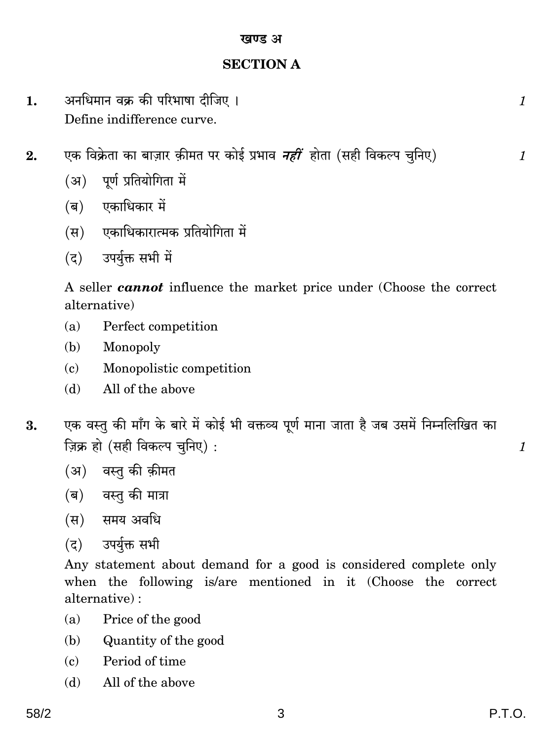#### खण्ड अ

## **SECTION A**

- अनधिमान वक्र की परिभाषा दीजिए । 1. Define indifference curve.
- एक विक्रेता का बाज़ार क़ीमत पर कोई प्रभाव *नहीं* होता (सही विकल्प चुनिए)  $2.$ 
	- (अ) पर्ण प्रतियोगिता में
	- (ब) एकाधिकार में
	- (स) एकाधिकारात्मक प्रतियोगिता में
	- (द) उपर्युक्त सभी में

A seller **cannot** influence the market price under (Choose the correct alternative)

- Perfect competition  $(a)$
- Monopoly (b)
- Monopolistic competition  $\epsilon$
- (d) All of the above
- एक वस्तु की माँग के बारे में कोई भी वक्तव्य पूर्ण माना जाता है जब उसमें निम्नलिखित का 3. ज़िक्र हो (सही विकल्प चुनिए):
	- (अ) वस्तु की क़ीमत
	- (ब) वस्तु की मात्रा
	- (स) समय अवधि
	- (द) उपर्युक्त सभी

Any statement about demand for a good is considered complete only when the following is/are mentioned in it (Choose the correct alternative):

- Price of the good  $(a)$
- Quantity of the good  $(b)$
- $(c)$ Period of time
- All of the above  $(d)$

 $\mathcal{I}$ 

 $\mathcal{I}$ 

 $\mathcal I$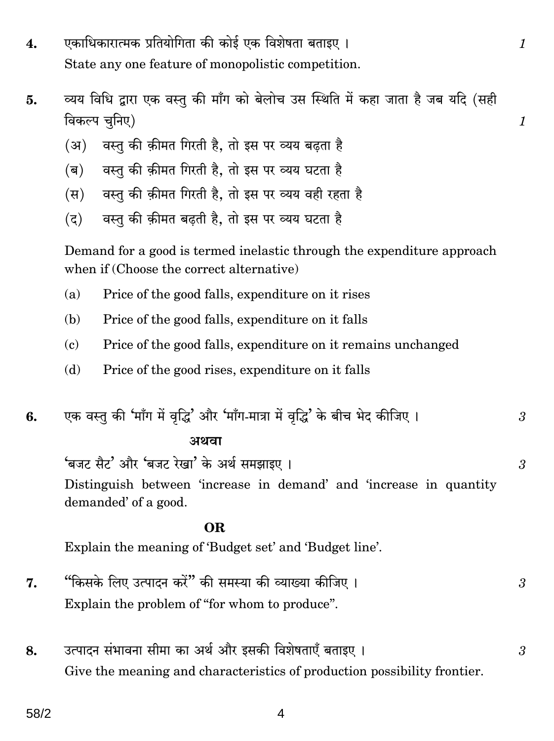- एकाधिकारात्मक प्रतियोगिता की कोई एक विशेषता बताइए ।  $\overline{4}$ . State any one feature of monopolistic competition.
- व्यय विधि द्वारा एक वस्तु की माँग को बेलोच उस स्थिति में कहा जाता है जब यदि (सही 5. विकल्प चुनिए)
	- वस्तु की क़ीमत गिरती है. तो इस पर व्यय बढ़ता है  $(3)$
	- वस्तु की क़ीमत गिरती है. तो इस पर व्यय घटता है  $(\overline{\mathsf{q}})$
	- वस्त की कीमत गिरती है. तो इस पर व्यय वही रहता है  $(\overline{H})$
	- वस्तु की क़ीमत बढ़ती है. तो इस पर व्यय घटता है  $(5)$

Demand for a good is termed inelastic through the expenditure approach when if (Choose the correct alternative)

- Price of the good falls, expenditure on it rises  $(a)$
- (b) Price of the good falls, expenditure on it falls
- $(c)$ Price of the good falls, expenditure on it remains unchanged
- (d) Price of the good rises, expenditure on it falls
- एक वस्तु की 'माँग में वृद्धि' और 'माँग-मात्रा में वृद्धि' के बीच भेद कीजिए । 6. 3

#### अथवा

'बजट सैट' और 'बजट रेखा' के अर्थ समझाइए । Distinguish between 'increase in demand' and 'increase in quantity demanded' of a good.

#### **OR**

Explain the meaning of 'Budget set' and 'Budget line'.

- "किसके लिए उत्पादन करें" की समस्या की व्याख्या कीजिए । 7. Explain the problem of "for whom to produce".
- उत्पादन संभावना सीमा का अर्थ और इसकी विशेषताएँ बताइए । 8. Give the meaning and characteristics of production possibility frontier.

4

 $\boldsymbol{\mathit{1}}$ 

3

3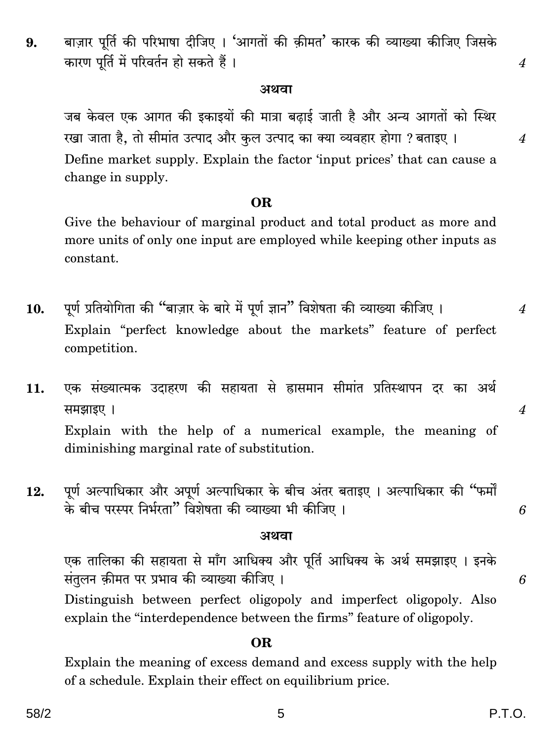$58/2$ 

#### बाज़ार पूर्ति की परिभाषा दीजिए । 'आगतों की क़ीमत' कारक की व्याख्या कीजिए जिसके 9. कारण पूर्ति में परिवर्तन हो सकते हैं।

#### अथवा

जब केवल एक आगत की इकाइयों की मात्रा बढाई जाती है और अन्य आगतों को स्थिर रखा जाता है, तो सीमांत उत्पाद और कुल उत्पाद का क्या व्यवहार होगा ? बताइए । Define market supply. Explain the factor 'input prices' that can cause a change in supply.

#### OR.

Give the behaviour of marginal product and total product as more and more units of only one input are employed while keeping other inputs as constant.

- पूर्ण प्रतियोगिता की "बाज़ार के बारे में पूर्ण ज्ञान" विशेषता की व्याख्या कीजिए । 10.  $\boldsymbol{4}$ Explain "perfect knowledge about the markets" feature of perfect competition.
- एक संख्यात्मक उदाहरण की सहायता से ह्रासमान सीमांत प्रतिस्थापन दर का अर्थ 11. समझाइए । Explain with the help of a numerical example, the meaning of diminishing marginal rate of substitution.
- पूर्ण अल्पाधिकार और अपूर्ण अल्पाधिकार के बीच अंतर बताइए । अल्पाधिकार की "फर्मों 12. के बीच परस्पर निर्भरता" विशेषता की व्याख्या भी कीजिए।

#### अथवा

एक तालिका की सहायता से माँग आधिक्य और पूर्ति आधिक्य के अर्थ समझाइए । इनके संतुलन क़ीमत पर प्रभाव की व्याख्या कीजिए ।

Distinguish between perfect oligopoly and imperfect oligopoly. Also explain the "interdependence between the firms" feature of oligopoly.

## OR.

Explain the meaning of excess demand and excess supply with the help of a schedule. Explain their effect on equilibrium price.

 $\overline{4}$ 

 $\boldsymbol{4}$ 

 $\overline{4}$ 

6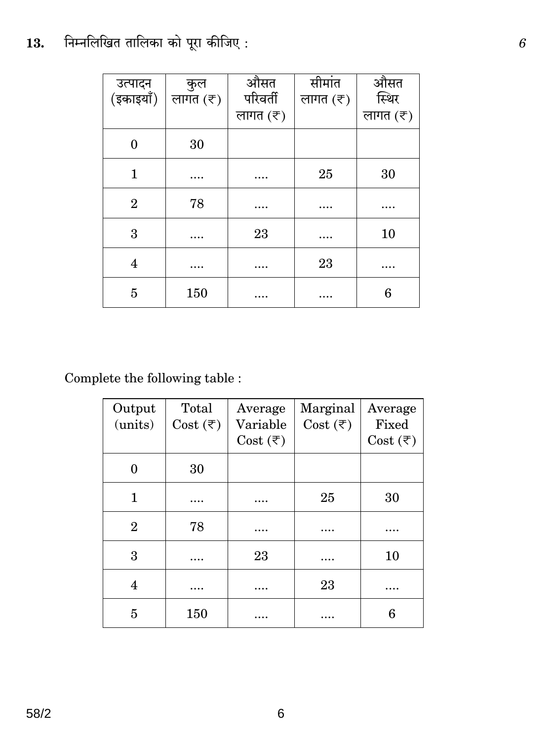# **13.** {ZåZ{b{IV Vm{bH\$m H\$mo nyam H\$s{OE : *6*

| उत्पादन        | कुल                      | औसत                      | सीमांत              | औसत                 |
|----------------|--------------------------|--------------------------|---------------------|---------------------|
| (इकाइयाँ)      | लागत $(\overline{\tau})$ | परिवर्ती                 | लागत $(\bar{\tau})$ | स्थिर               |
|                |                          | लागत $(\overline{\tau})$ |                     | लागत $(\bar{\tau})$ |
| 0              | 30                       |                          |                     |                     |
| $\mathbf{1}$   | .                        |                          | 25                  | 30                  |
| $\overline{2}$ | 78                       | .                        |                     |                     |
| 3              | .                        | 23                       | .                   | 10                  |
| 4              |                          |                          | 23                  |                     |
| 5              | 150                      |                          |                     | 6                   |

Complete the following table :

| Output<br>(units) | Total<br>Cost $(\overline{\tau})$ | Average<br>Variable<br>Cost $(\overline{\tau})$ | Marginal<br>Cost $(\overline{\tau})$ | Average<br>Fixed<br>Cost $(\overline{\tau})$ |
|-------------------|-----------------------------------|-------------------------------------------------|--------------------------------------|----------------------------------------------|
|                   | 30                                |                                                 |                                      |                                              |
| 1                 | .                                 | $\cdots$                                        | 25                                   | 30                                           |
| $\overline{2}$    | 78                                |                                                 |                                      |                                              |
| 3                 | .                                 | 23                                              | .                                    | 10                                           |
| 4                 |                                   |                                                 | 23                                   |                                              |
| 5                 | 150                               |                                                 |                                      | 6                                            |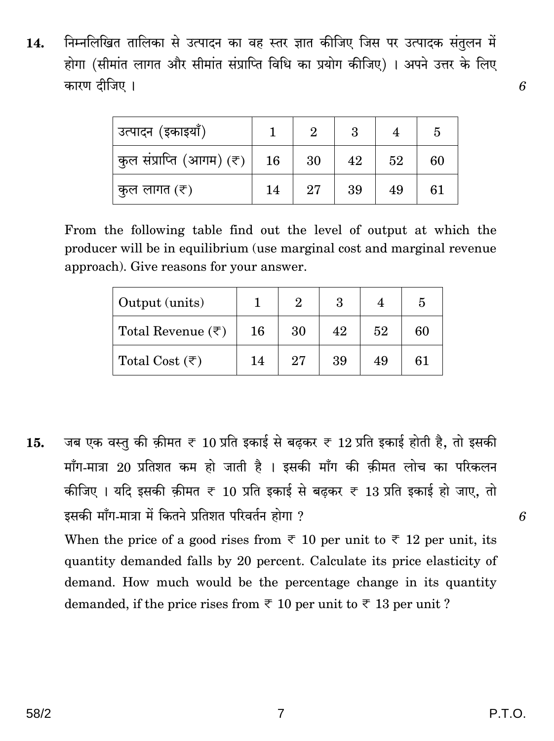निम्नलिखित तालिका से उत्पादन का वह स्तर ज्ञात कीजिए जिस पर उत्पादक संतुलन में 14. होगा (सीमांत लागत और सीमांत संप्राप्ति विधि का प्रयोग कीजिए)। अपने उत्तर के लिए कारण दीजिए ।

| ' उत्पादन (इकाइयाँ)      |    |    |    |    | 5  |
|--------------------------|----|----|----|----|----|
| कुल संप्राप्ति (आगम) (₹) | 16 | 30 | 42 | 52 | 60 |
| कुल लागत $(\bar{\tau})$  | 14 | 27 | 39 | 49 | 61 |

From the following table find out the level of output at which the producer will be in equilibrium (use marginal cost and marginal revenue) approach). Give reasons for your answer.

| Output (units)                 |    |    |    |    |    |
|--------------------------------|----|----|----|----|----|
| Total Revenue $(\bar{\tau})$   | 16 | 30 | 42 | 52 | 60 |
| Total Cost $(\overline{\tau})$ | 14 | 27 | 39 | 49 | 61 |

जब एक वस्तु की क़ीमत ₹ 10 प्रति इकाई से बढ़कर ₹ 12 प्रति इकाई होती है, तो इसकी 15. माँग-मात्रा 20 प्रतिशत कम हो जाती है । इसकी माँग की कीमत लोच का परिकलन कीजिए । यदि इसकी क़ीमत ₹ 10 प्रति इकाई से बढ़कर ₹ 13 प्रति इकाई हो जाए, तो इसकी माँग-मात्रा में कितने प्रतिशत परिवर्तन होगा ? When the price of a good rises from  $\overline{\tau}$  10 per unit to  $\overline{\tau}$  12 per unit, its quantity demanded falls by 20 percent. Calculate its price elasticity of demand. How much would be the percentage change in its quantity

demanded, if the price rises from  $\overline{\tau}$  10 per unit to  $\overline{\tau}$  13 per unit?

6

6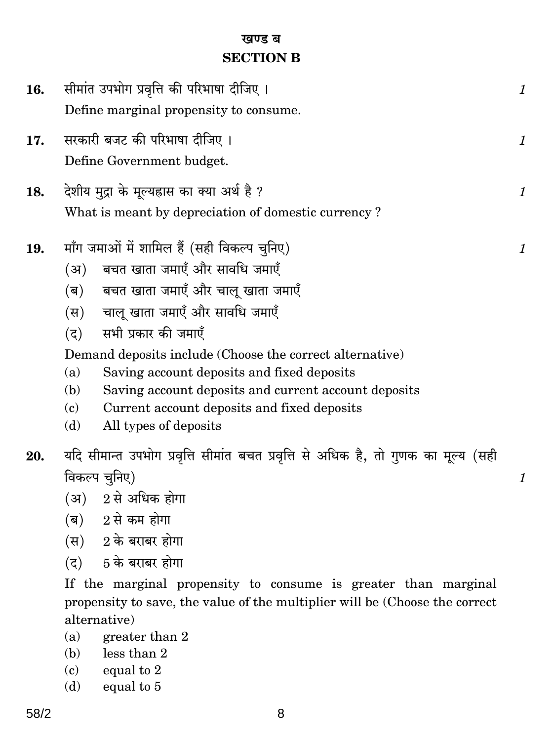# खण्ड ब **SECTION B**

| 16. | सीमांत उपभोग प्रवृत्ति की परिभाषा दीजिए ।                                                                                                                                                                                                                                                                                                                                                                                                                                 | $\it 1$                     |
|-----|---------------------------------------------------------------------------------------------------------------------------------------------------------------------------------------------------------------------------------------------------------------------------------------------------------------------------------------------------------------------------------------------------------------------------------------------------------------------------|-----------------------------|
|     | Define marginal propensity to consume.                                                                                                                                                                                                                                                                                                                                                                                                                                    |                             |
| 17. | सरकारी बजट की परिभाषा दीजिए ।<br>Define Government budget.                                                                                                                                                                                                                                                                                                                                                                                                                | 1                           |
| 18. | देशीय मुद्रा के मूल्यहास का क्या अर्थ है ?<br>What is meant by depreciation of domestic currency?                                                                                                                                                                                                                                                                                                                                                                         | $\mathcal{I}_{\mathcal{A}}$ |
| 19. | माँग जमाओं में शामिल हैं (सही विकल्प चुनिए)<br>बचत खाता जमाएँ और सावधि जमाएँ<br>(3)<br>बचत खाता जमाएँ और चालू खाता जमाएँ<br>(ब)<br>(स) चालू खाता जमाएँ और सावधि जमाएँ<br>सभी प्रकार की जमाएँ<br>(5)<br>Demand deposits include (Choose the correct alternative)<br>(a)<br>Saving account deposits and fixed deposits<br>(b)<br>Saving account deposits and current account deposits<br>(c)<br>Current account deposits and fixed deposits<br>(d)<br>All types of deposits | 1                           |
| 20. | यदि सीमान्त उपभोग प्रवृत्ति सीमांत बचत प्रवृत्ति से अधिक है, तो गुणक का मूल्य (सही<br>विकल्प चुनिए)<br>$(3)$ 2 से अधिक होगा<br>$(a)$ 2 से कम होगा<br>$(\mathtt{H})=2$ के बराबर होगा                                                                                                                                                                                                                                                                                       | 1                           |

 $($ द)  $5$  के बराबर होगा

If the marginal propensity to consume is greater than marginal propensity to save, the value of the multiplier will be (Choose the correct alternative)

- greater than 2  $(a)$
- $(b)$  $less than 2$
- $(c)$ equal to 2
- $(d)$ equal to 5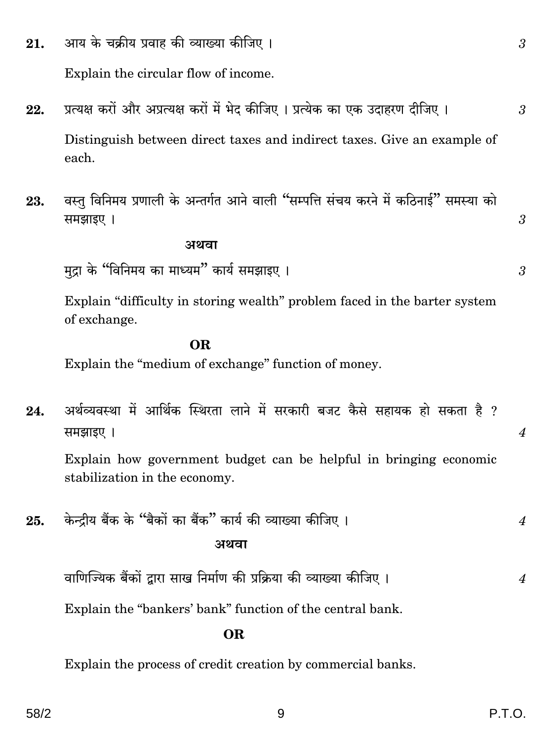Explain the circular flow of income.

प्रत्यक्ष करों और अप्रत्यक्ष करों में भेद कीजिए । प्रत्येक का एक उदाहरण दीजिए । 22.

Distinguish between direct taxes and indirect taxes. Give an example of each

वस्तु विनिमय प्रणाली के अन्तर्गत आने वाली "सम्पत्ति संचय करने में कठिनाई" समस्या को 23. समझाइए ।

#### अथवा

मुद्रा के "विनिमय का माध्यम" कार्य समझाइए ।

Explain "difficulty in storing wealth" problem faced in the barter system of exchange.

#### OR.

Explain the "medium of exchange" function of money.

अर्थव्यवस्था में आर्थिक स्थिरता लाने में सरकारी बजट कैसे सहायक हो सकता है ? 24. समझाइए ।  $\overline{4}$ Explain how government budget can be helpful in bringing economic stabilization in the economy. केन्द्रीय बैंक के "बैकों का बैंक" कार्य की व्याख्या कीजिए । 25.  $\boldsymbol{4}$ अथवा वाणिज्यिक बैंकों द्वारा साख निर्माण की प्रक्रिया की व्याख्या कीजिए ।  $\overline{4}$ 

Explain the "bankers' bank" function of the central bank.

#### **OR**

Explain the process of credit creation by commercial banks.

3

3

 $\mathcal{S}$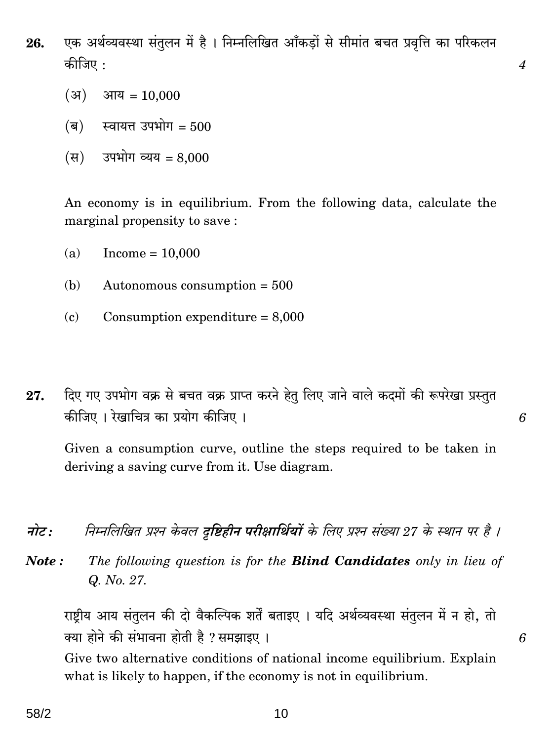- एक अर्थव्यवस्था संतुलन में है। निम्नलिखित आँकड़ों से सीमांत बचत प्रवृत्ति का परिकलन 26. कीजिए :
	- $(3)$ आय =  $10,000$
	- $(\overline{\mathsf{q}})$ स्वायत्त उपभोग $=500$
	- उपभोग व्यय = 8,000  $(\overline{\mathbf{E}})$

An economy is in equilibrium. From the following data, calculate the marginal propensity to save:

- $(a)$ Income =  $10,000$
- (b) Autonomous consumption  $= 500$
- $\epsilon$ Consumption expenditure  $= 8,000$
- दिए गए उपभोग वक्र से बचत वक्र प्राप्त करने हेतु लिए जाने वाले कदमों की रूपरेखा प्रस्तुत 27. कीजिए । रेखाचित्र का प्रयोग कीजिए ।

6

6

 $\overline{\mathcal{A}}$ 

Given a consumption curve, outline the steps required to be taken in deriving a saving curve from it. Use diagram.

निम्नलिखित प्रश्न केवल **दृष्टिहीन परीक्षार्थियों** के लिए प्रश्न संख्या 27 के स्थान पर है । नोट:

Note: The following question is for the **Blind Candidates** only in lieu of Q. No. 27.

राष्ट्रीय आय संतुलन की दो वैकल्पिक शर्तें बताइए । यदि अर्थव्यवस्था संतुलन में न हो, तो क्या होने की संभावना होती है ? समझाइए । Give two alternative conditions of national income equilibrium. Explain what is likely to happen, if the economy is not in equilibrium.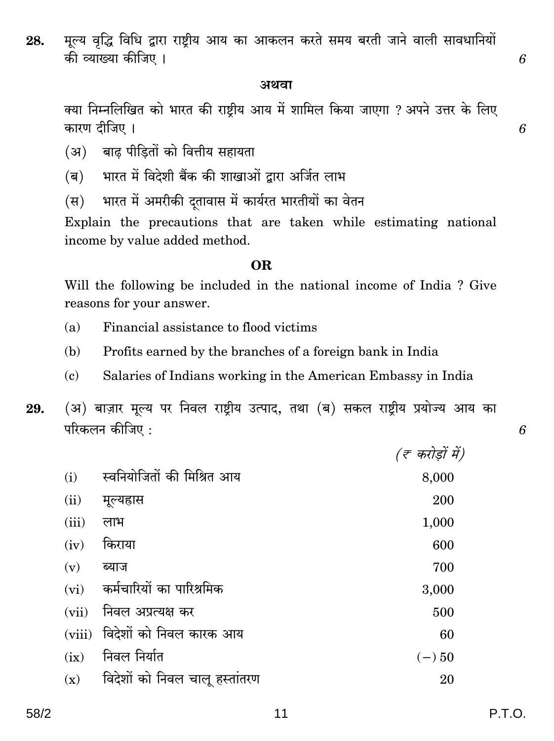58/2

मूल्य वृद्धि विधि द्वारा राष्ट्रीय आय का आकलन करते समय बरती जाने वाली सावधानियों 28. की व्याख्या कीजिए ।

#### अथवा

क्या निम्नलिखित को भारत की राष्ट्रीय आय में शामिल किया जाएगा ? अपने उत्तर के लिए कारण टीजिए ।

- बाढ पीडितों को वित्तीय सहायता (अ)
- भारत में विदेशी बैंक की शाखाओं द्वारा अर्जित लाभ  $(\overline{\mathbf{q}})$
- भारत में अमरीकी दतावास में कार्यरत भारतीयों का वेतन  $(\overline{H})$

Explain the precautions that are taken while estimating national income by value added method.

#### OR.

Will the following be included in the national income of India ? Give reasons for your answer.

- Financial assistance to flood victims  $(a)$
- Profits earned by the branches of a foreign bank in India (b)
- Salaries of Indians working in the American Embassy in India  $\epsilon$

(अ) बाज़ार मूल्य पर निवल राष्ट्रीय उत्पाद, तथा (ब) सकल राष्ट्रीय प्रयोज्य आय का 29. परिकलन कीजिए :

|                                | (ह करोड़ों में)                     |
|--------------------------------|-------------------------------------|
| स्वनियोजितों की मिश्रित आय     | 8,000                               |
| मूल्यह्रास                     | 200                                 |
| लाभ                            | 1,000                               |
| किराया                         | 600                                 |
| ब्याज                          | 700                                 |
|                                | 3,000                               |
| निवल अप्रत्यक्ष कर             | 500                                 |
| विदेशों को निवल कारक आय        | 60                                  |
| निवल निर्यात                   | $(-)50$                             |
| विदेशों को निवल चालू हस्तांतरण | 20                                  |
|                                | कर्मचारियों का पारिश्रमिक<br>(viii) |

 $11$ 

6

6